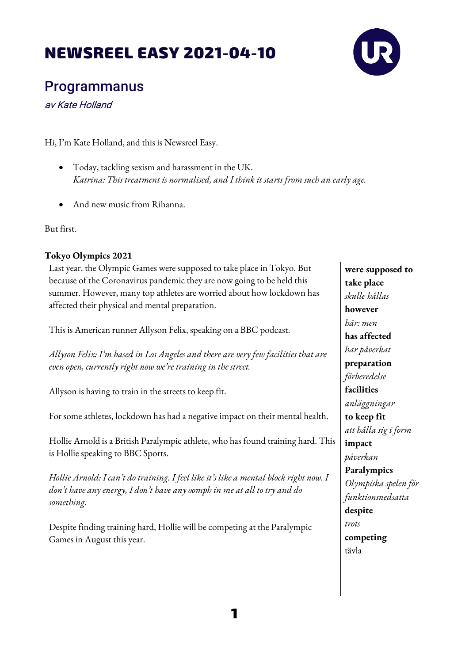## NEWSREEL EASY 2021-04-10



Programmanus

av Kate Holland

Hi, I'm Kate Holland, and this is Newsreel Easy.

- Today, tackling sexism and harassment in the UK. *Katrina: This treatment is normalised, and I think it starts from such an early age.*
- And new music from Rihanna.

But first.

## **Tokyo Olympics 2021**

Last year, the Olympic Games were supposed to take place in Tokyo. But because of the Coronavirus pandemic they are now going to be held this summer. However, many top athletes are worried about how lockdown has affected their physical and mental preparation.

This is American runner Allyson Felix, speaking on a BBC podcast.

*Allyson Felix: I'm based in Los Angeles and there are very few facilities that are even open, currently right now we're training in the street.* 

Allyson is having to train in the streets to keep fit.

For some athletes, lockdown has had a negative impact on their mental health.

Hollie Arnold is a British Paralympic athlete, who has found training hard. This is Hollie speaking to BBC Sports.

*Hollie Arnold: I can't do training. I feel like it's like a mental block right now. I don't have any energy, I don't have any oomph in me at all to try and do something.*

Despite finding training hard, Hollie will be competing at the Paralympic Games in August this year.

**were supposed to take place** *skulle hållas* **however** *här: men* **has affected** *har påverkat* **preparation** *förberedelse* **facilities** *anläggningar* **to keep fit** *att hålla sig i form* **impact** *påverkan* **Paralympics** *Olympiska spelen för funktionsnedsatta* **despite** *trots* **competing** tävla